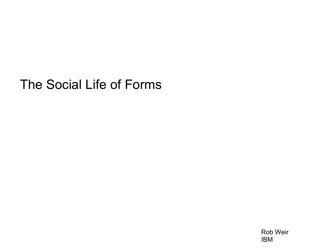## The Social Life of Forms

Rob Weir IBM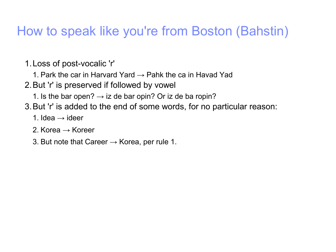## How to speak like you're from Boston (Bahstin)

- 1.Loss of post-vocalic 'r'
	- 1. Park the car in Harvard Yard  $\rightarrow$  Pahk the ca in Havad Yad
- 2.But 'r' is preserved if followed by vowel
	- 1. Is the bar open?  $\rightarrow$  iz de bar opin? Or iz de ba ropin?
- 3.But 'r' is added to the end of some words, for no particular reason:
	- 1. Idea  $\rightarrow$  ideer
	- 2. Korea  $\rightarrow$  Koreer
	- 3. But note that Career  $\rightarrow$  Korea, per rule 1.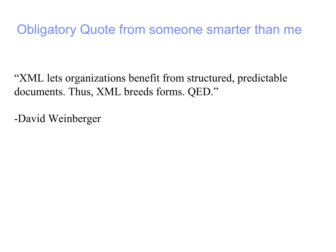## Obligatory Quote from someone smarter than me

"XML lets organizations benefit from structured, predictable documents. Thus, XML breeds forms. QED."

-David Weinberger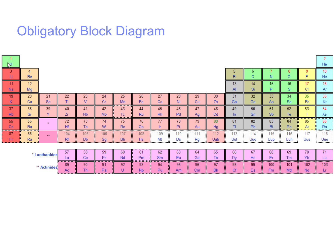## Obligatory Block Diagram

| Ŋн              |          |                 |           |                            |           |                      |                    |                     |                          |                     |                    |                      |                      |            |            |                            | He                     |
|-----------------|----------|-----------------|-----------|----------------------------|-----------|----------------------|--------------------|---------------------|--------------------------|---------------------|--------------------|----------------------|----------------------|------------|------------|----------------------------|------------------------|
| 3<br>Ц          | 4<br>Be  |                 |           |                            |           |                      |                    |                     |                          |                     |                    |                      | 6<br>C.              | Ν          | O          | 9.                         | 10<br>Ne.              |
| 11<br>Na        | 12<br>Mg |                 |           |                            |           |                      |                    |                     |                          |                     |                    | 13<br>$\mathsf{A}$   | 14<br>Si             | 15<br>P    | 16<br>s    | 17<br>СI                   | 18<br>Ar               |
| 19<br>Κ         | 20<br>Ca | 21<br><b>Sc</b> | 22<br>Τì  | 23                         | 24<br>Сr  | 25<br>Mn             | 26<br>Fe           | 27<br>Co            | 28<br>Ni                 | 29<br>Cu            | 30<br>Zn           | 31<br>Ga             | 32<br>Ge             | 33<br>As   | 34<br>Se:  | 35<br>Br                   | 36<br>Kr               |
| 37<br><b>Rb</b> | 38<br>Sr | 39<br>Y         | 40<br>Zr  | 41<br><b>N<sub>b</sub></b> | 42<br>Mo. | 43<br>Тc<br>- -      | 44<br><b>Ru</b>    | 45<br><b>Rh</b>     | 46<br>Pd                 | 47<br>Ag            | 48<br>Cd           | 49<br>ln.            | 50<br><b>Sn</b>      | 51<br>Sb   | 52<br>Тe   | 53                         | 54<br>Xe               |
| 55<br>Cs        | 56<br>Ba | $\star$         | 72<br>Hf  | 73<br>Ta                   | 74<br>W   | 75<br><b>Re</b>      | 76<br><b>Os</b>    | 77<br>-lr           | 78<br>Pt                 | 79<br>Au            | 80<br>Hg           | 81<br>T1             | 82<br>P <sub>b</sub> | 83<br>Bi   | 84<br>Po   | 85<br>At                   | 86<br><b>Rn</b>        |
| --<br>87<br>Fr  | 88<br>Ra | $\star\star$    | 104<br>Rf | 105<br>ж<br>Db             | 106<br>Sg | 107<br><b>Bh</b><br> | 108<br>×<br>Hs<br> | 109<br>÷<br>Mt<br>÷ | 110<br>Ds                | 111<br>Rg           | 112<br><b>Uub</b>  | 113<br>÷<br>Uut<br>÷ | 114<br>Uuq           | 115<br>Uup | 116<br>Uuh | 117<br>Uus                 | 118<br>Uuo<br><u>i</u> |
| * Lanthanides   |          |                 | 57<br>La  | 58<br>Ce.                  | 59<br>Pr  | 60<br>Nd             | 61<br>Pm           | 62<br>Sm            | 63<br>Eu                 | 64<br>Gd            | 65<br>Tb           | 66<br>Dy             | 67<br>Ho             | 68<br>Er   | 69<br>Tm   | 70<br>Yb                   | 71<br>Lu               |
| ** Actinides.   |          | 89<br>Ac        | 90<br>Th  | 91<br>Pa                   | 92        | 93<br><b>Np</b>      | 94<br>Pu           | 95<br>Am            | .<br>96<br>$\mathsf{Cm}$ | <br>97<br><b>Bk</b> | .<br>98<br>÷<br>Cf | 99<br>Es             | 100<br>Fm            | 101<br>Md  | 102<br>No  | -------------<br>103<br>Lr |                        |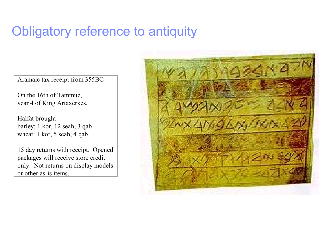### Obligatory reference to antiquity

Aramaic tax receipt from 355BC

On the 16th of Tammuz, year 4 of King Artaxerxes,

Halfat brought barley: 1 kor, 12 seah, 3 qab wheat: 1 kor, 5 seah, 4 qab

15 day returns with receipt. Opened packages will receive store credit only. Not returns on display models or other as-is items.

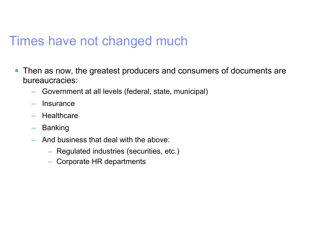#### Times have not changed much

- **Then as now, the greatest producers and consumers of documents are** bureaucracies:
	- Government at all levels (federal, state, municipal)
	- Insurance
	- Healthcare
	- Banking
	- And business that deal with the above:
		- Regulated industries (securities, etc.)
		- Corporate HR departments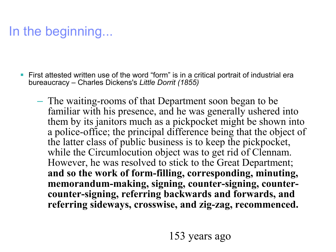# In the beginning...

- First attested written use of the word "form" is in a critical portrait of industrial era bureaucracy – Charles Dickens's *Little Dorrit (1855)*
	- The waiting-rooms of that Department soon began to be familiar with his presence, and he was generally ushered into them by its janitors much as a pickpocket might be shown into a police-office; the principal difference being that the object of the latter class of public business is to keep the pickpocket, while the Circumlocution object was to get rid of Clennam. However, he was resolved to stick to the Great Department; **and so the work of form-filling, corresponding, minuting, memorandum-making, signing, counter-signing, countercounter-signing, referring backwards and forwards, and referring sideways, crosswise, and zig-zag, recommenced.**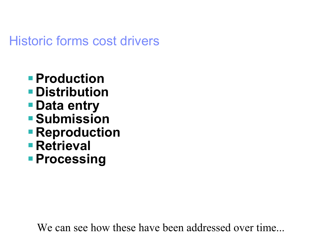### Historic forms cost drivers

- **Production**
- **Distribution**
- **Data entry**
- **Submission**
- **Reproduction**
- **Retrieval**
- **Processing**

We can see how these have been addressed over time...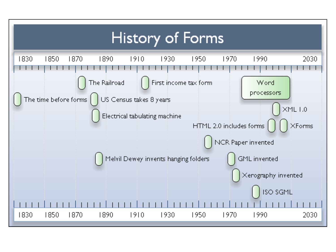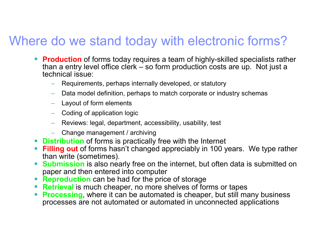## Where do we stand today with electronic forms?

- **Production** of forms today requires a team of highly-skilled specialists rather than a entry level office clerk – so form production costs are up. Not just a technical issue:
	- Requirements, perhaps internally developed, or statutory
	- Data model definition, perhaps to match corporate or industry schemas
	- Layout of form elements
	- Coding of application logic
	- Reviews: legal, department, accessibility, usability, test
	- Change management / archiving
- **Distribution** of forms is practically free with the Internet
- **Filling out** of forms hasn't changed appreciably in 100 years. We type rather than write (sometimes).
- **Submission** is also nearly free on the internet, but often data is submitted on paper and then entered into computer
- **Reproduction** can be had for the price of storage
- **Retrieval** is much cheaper, no more shelves of forms or tapes
- **Processing**, where it can be automated is cheaper, but still many business processes are not automated or automated in unconnected applications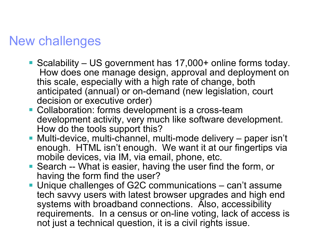#### New challenges

- Scalability US government has 17,000+ online forms today. How does one manage design, approval and deployment on this scale, especially with a high rate of change, both anticipated (annual) or on-demand (new legislation, court decision or executive order)
- **Collaboration: forms development is a cross-team** development activity, very much like software development. How do the tools support this?
- Multi-device, multi-channel, multi-mode delivery paper isn't enough. HTML isn't enough. We want it at our fingertips via mobile devices, via IM, via email, phone, etc.
- Search -- What is easier, having the user find the form, or having the form find the user?
- **Unique challenges of G2C communications can't assume** tech savvy users with latest browser upgrades and high end systems with broadband connections. Also, accessibility requirements. In a census or on-line voting, lack of access is not just a technical question, it is a civil rights issue.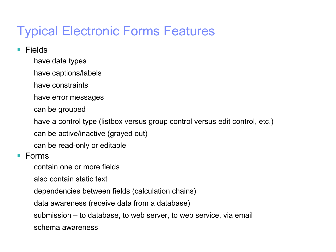# Typical Electronic Forms Features

- Fields
	- have data types
	- have captions/labels
	- have constraints
	- have error messages
	- can be grouped
	- have a control type (listbox versus group control versus edit control, etc.)
	- can be active/inactive (grayed out)
	- can be read-only or editable
- Forms
	- contain one or more fields
	- also contain static text
	- dependencies between fields (calculation chains)
	- data awareness (receive data from a database)
	- submission to database, to web server, to web service, via email
	- schema awareness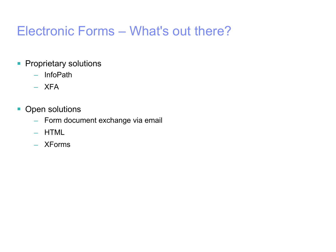## Electronic Forms – What's out there?

- **Proprietary solutions** 
	- InfoPath
	- XFA
- **Open solutions** 
	- Form document exchange via email
	- HTML
	- XForms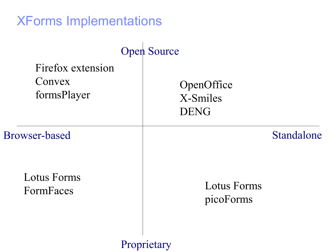| <b>XForms Implementations</b>              |                                       |
|--------------------------------------------|---------------------------------------|
|                                            | <b>Open Source</b>                    |
| Firefox extension<br>Convex<br>formsPlayer | OpenOffice<br>X-Smiles<br><b>DENG</b> |
| Browser-based                              | Standalone                            |
| <b>Lotus Forms</b><br>FormFaces            | <b>Lotus Forms</b><br>picoForms       |
|                                            | Proprietary                           |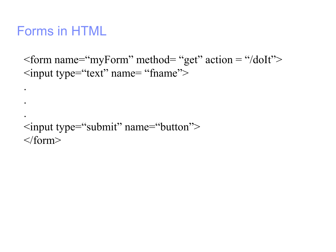### Forms in HTML

.

.

.

 $\epsilon$  = "form name="myForm" method= "get" action = "/doIt"> <input type="text" name= "fname">

```
<input type="submit" name="button">
</form>
```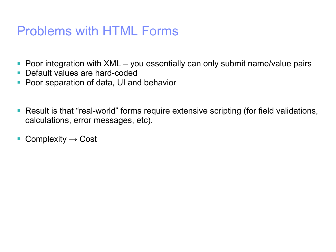### Problems with HTML Forms

- **Poor integration with XML you essentially can only submit name/value pairs**
- Default values are hard-coded
- **Poor separation of data, UI and behavior**
- Result is that "real-world" forms require extensive scripting (for field validations, calculations, error messages, etc).
- Complexity  $\rightarrow$  Cost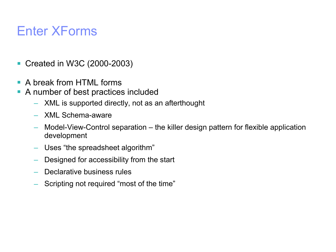## Enter XForms

- Created in W3C (2000-2003)
- A break from HTML forms
- A number of best practices included
	- XML is supported directly, not as an afterthought
	- XML Schema-aware
	- Model-View-Control separation the killer design pattern for flexible application development
	- Uses "the spreadsheet algorithm"
	- Designed for accessibility from the start
	- Declarative business rules
	- Scripting not required "most of the time"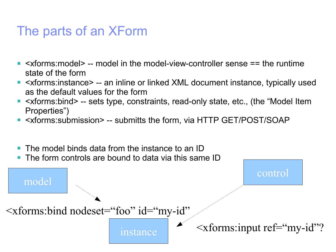### The parts of an XForm

- <xforms:model> -- model in the model-view-controller sense == the runtime state of the form
- <xforms:instance> -- an inline or linked XML document instance, typically used as the default values for the form
- <xforms:bind> -- sets type, constraints, read-only state, etc., (the "Model Item Properties")
- <xforms:submission> -- submitts the form, via HTTP GET/POST/SOAP
- The model binds data from the instance to an ID
- The form controls are bound to data via this same ID